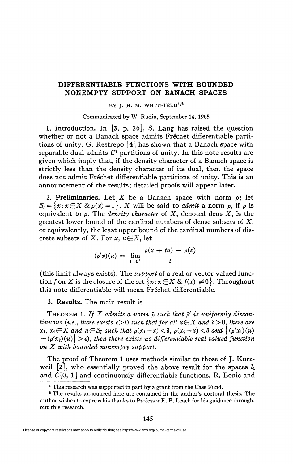## **DIFFERENTIABLE FUNCTIONS WITH BOUNDED NONEMPTY SUPPORT ON BANACH SPACES**

## BY J. H. M. WHITFIELD<sup>1,2</sup>

Communicated by W. Rudin, September 14, 1965

1. **Introduction.** In [3, p. 26], S. Lang has raised the question whether or not a Banach space admits Fréchet differentiable partitions of unity. G. Restrepo [4] has shown that a Banach space with separable dual admits  $C<sup>1</sup>$  partitions of unity. In this note results are given which imply that, if the density character of a Banach space is strictly less than the density character of its dual, then the space does not admit Fréchet differentiable partitions of unity. This is an announcement of the results; detailed proofs will appear later.

2. Preliminaries. Let X be a Banach space with norm  $\rho$ ; let  $S_p = \{x : x \in X \& p(x) = 1\}$ . *X* will be said to *admit* a norm  $\bar{p}$ , if  $\bar{p}$  is equivalent to p. The *density character* of *X,* denoted dens X, is the greatest lower bound of the cardinal numbers of dense subsets of *X,*  or equivalently, the least upper bound of the cardinal numbers of discrete subsets of X. For x,  $u \in X$ , let

$$
(\rho' x)(u) = \lim_{t \to 0^+} \frac{\rho(x + tu) - \rho(x)}{t}
$$

(this limit always exists). The *support* of a real or vector valued function f on X is the closure of the set  $\{x: x \in X \& f(x) \neq 0\}$ . Throughout this note differentiable will mean Fréchet differentiable.

## 3. Results. The main result is

THEOREM 1. If X admits a norm  $\bar{\rho}$  such that  $\bar{\rho}'$  is uniformly discon*tinuous (i.e., there exists*  $\epsilon > 0$  *such that for all*  $x \in X$  *and*  $\delta > 0$ *, there are*  $x_1, x_2 \in X$  and  $u \in S_{\bar{\rho}}$  such that  $\bar{\rho}(x_1-x) < \delta$ ,  $\bar{\rho}(x_2-x) < \delta$  and  $|(\bar{\rho}'x_1)(u)|$  $(\bar{\rho}'x_2)(u)$  >  $\epsilon$ ), then there exists no differentiable real valued function *on X with bounded nonempty support.* 

The proof of Theorem 1 uses methods similar to those of J. Kurzweil [2], who essentially proved the above result for the spaces *h*  and  $C[0, 1]$  and continuously differentiable functions. R. Bonic and

<sup>&</sup>lt;sup>1</sup> This research was supported in part by a grant from the Case Fund.

<sup>&</sup>lt;sup>2</sup> The results announced here are contained in the author's doctoral thesis. The author wishes to express his thanks to Professor E. B. Leach for his guidance throughout this research.